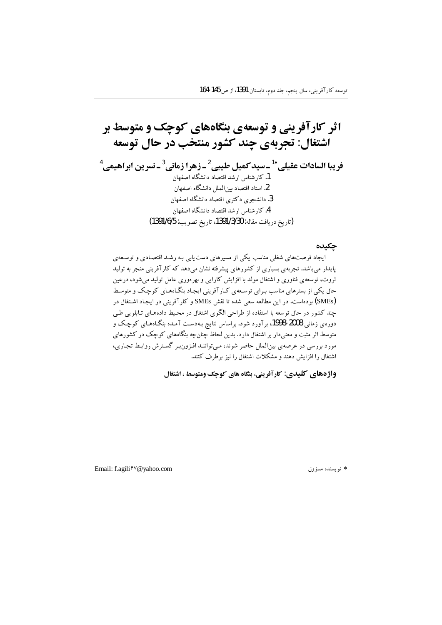### جكيده

ایجاد فرصتهای شغلی مناسب یکی از مسیرهای دست پایی بـه رشـد اقتصـادی و توسـعهی پایدار میباشد. تجربهی بسیاری از کشورهای پیشرفته نشان میدهد که کارآفرینی منجر به تولید ثروت، توسعهی فناوری و اشتغال مولد با افزایش کارایی و بهرهوری عامل تولید میشود، درعین حال یکی از بسترهای مناسب بـرای توسـعهی کـارآفرینی ایجـاد بنگـاههـای کوچـک و متوسـط (SMEs) بودهاست. در این مطالعه سعی شده تا نقش SMEs و کارآفرینی در ایجاد اشتغال در چند کشور در حال توسعه با استفاده از طراحی الگوی اشتغال در محیط دادههـای تـابلویی طـی دوره ی زمانی 2008-1998، بر آورد شود. براساس نتایج بـهدسـت آمـده بنگـاههـای کوچک و متوسط اثر مثبت و معنیدار بر اشتغال دارد. بدین لحاظ جنان چه بنگاههای کوچک در کشورهای مورد بررسی در عرصهی بینالملل حاضر شوند، میتوانند افزون بر گسترش روابط تجاری، اشتغال را افزایش دهند و مشکلات اشتغال را نیز برطرف کنند.

واژههای کلیدی: کارآفرینی، بنگاه های کوچک ومتوسط ، اشتغال

\* نو يسنده مسؤول

Email: f.agili<sup> $\hat{\tau} \vee \textcircled{a}$ yahoo.com</sup>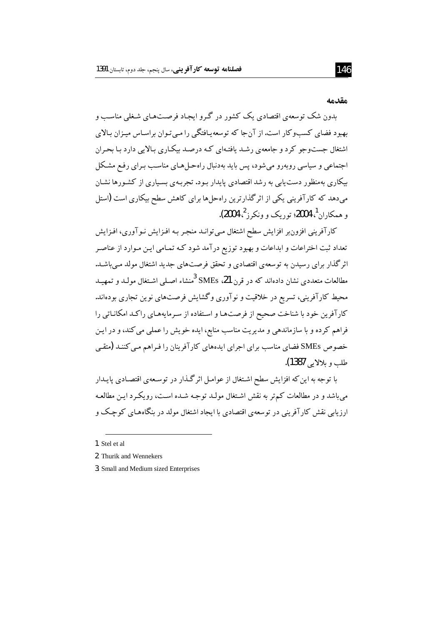#### مقدمه

بدون شک توسعهی اقتصادی یک کشور در گرو ایجاد فرصتهای شغلی مناسب و بهبود فضای کسبوکار است.از آنجا که توسعه پافتگی را مبی تـوان براسـاس میـزان بـالای اشتغال جستوجو کرد و جامعهی رشد یافتـهای کـه درصـد بیکـاری بـالایی دارد بـا بحـران اجتماعی و سیاسی روبهرو میشود، پس باید بهدنبال راهحلهای مناسب بـرای رفـع مشـکل بیکاری بهمنظور دست پایی به رشد اقتصادی پایدار بـود. تجربـهی بسـیاری از کشـورها نشـان میدهد که کارآفرینی یکی از اثرگذارترین راهحلها برای کاهش سطح بیکاری است (استل و همکاران<sup>1</sup>، 2004؛ توریک و ونکرز<sup>2</sup>، 2004).

کارآفرینی افزونبر افزایش سطح اشتغال می توانـد منجـر بـه افـزایش نـوآوری، افـزایش تعداد ثبت اختراعات و ابداعات و بهبود توزیع درآمد شود کـه تمـامی ایـن مـوارد از عناصـر اثر گذار برای رسیدن به توسعهی اقتصادی و تحقق فرصتهای جدید اشتغال مولد مے باشـد. مطالعات متعددی نشان دادهاند که در قرن SMEs ،21 <sup>3</sup>منشاء اصـلی اشـتغال مولـد و تمهــد محیط کارآفرینی، تسریع در خلاقیت و نوآوری وگشایش فرصتهای نوین تجاری بودهاند. كارآفرين خود با شناخت صحيح از فرصتها و استفاده از سرمايههاي راكد امكاناتي را فراهم کرده و با سازماندهی و مدیریت مناسب منابع، ایده خویش را عملی می کند، و در ایـن خصوص SMEs فضای مناسب برای اجرای ایدههای کار آفرینان را فیراهم مبی کننـد (متقبی طلب و بلالا ہی **1387)**.

با توجه به این که افزایش سطح اشتغال از عوامـل اثرگـذار در توسـعهی اقتصـادی پایـدار می باشد و در مطالعات کم تر به نقش اشتغال مولـد توجـه شـده اسـت، رویکـرد ایـن مطالعـه ارزیابی نقش کار آفرینی در توسعهی اقتصادی با ایجاد اشتغال مولد در بنگاههـای کوچک و

<sup>1.</sup> Stel et al.

<sup>2.</sup> Thurik and Wennekers

<sup>3.</sup> Small and Medium sized Enterprises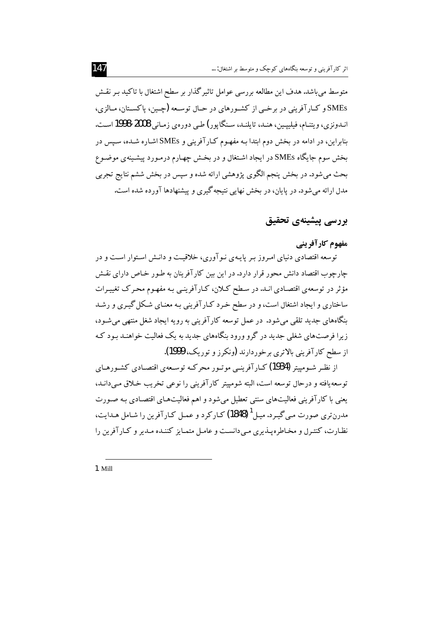متوسط میباشد. هدف این مطالعه بررسی عوامل تاثیرگذار بر سطح اشتغال با تاکید بـر نقـش SMEs و کـارآفرینی در برخــی از کشــورهای در حــال توســعه (چــین، پاکســتان، مــالزی، انېدونزي، ويتنـام، فيليپـين، هنـد، تايلنـد، سـنگاپور) طـي دوروي زمـاني 2008-1998 اسـت. بنابراین، در ادامه در بخش دوم ابتدا بـه مفهـوم کـارآفرینی و SMEs اشـاره شـده، سـپس در بخش سوم جایگاه SMEs در ایجاد اشتغال و در بخـش چهـارم درمـورد پیشـینهی موضـوع بحث مي شود. در بخش پنجم الگوي پژوهشي ارائه شده و سپس در بخش ششم نتايج تجربي مدل ارائه می شود. در پایان، در بخش نهایی نتیجه گیری و پیشنهادها آورده شده است.

# بررسي ييشينهي تحقيق

# مفهوم کار آفرینے

توسعه اقتصادی دنیای امیروز پیر پاییهی نیو آوری، خلاقیت و دانش استوار است و در ۔<br>چار جوب اقتصاد دانش محور قرار دارد. در این بین کار آفرینان به طـور خـاص دارای نقـش مؤثر در توسعهي اقتصادي انـد. در سـطح كـلان، كـارآفرينـي بـه مفهـوم محـرك تغييـرات ساختاری و ایجاد اشتغال است، و در سطح خرد کـارآفرینی بـه معنـای شـکل گیـری و رشـد بنگاههای جدید تلقی می شود. در عمل توسعه کارآفرینی به رویه ایجاد شغل منتهی می شـود، زیرا فرصتهای شغلی جدید در گرو ورود بنگاههای جدید به یک فعالیت خواهنـد بـود کـه از سطح کار آفرینی بالاتری برخوردارند (ونکرز و توریک، 1999).

از نظـر شــومییتر (1934) کــارآفرینــی موتــور محرکــه توســعهی اقتصــادی کشــورهــای .<br>توسعه یافته و درحال توسعه است، البته شومپیتر کارآفرینی را نوعی تخریب خـلاق مـیدانـد، یعنی با کارآفرینی فعالیتهای سنتی تعطیل می شود و اهم فعالیتهای اقتصادی بـه صـورت مدرنتري صورت مي گيرد. ميل<sup>1</sup> (1848) كـاركرد و عمـل كـارآفرين را شـامل هـدايت، نظارت، کنترل و مخاطره پیذیری می دانست و عامل متمایز کننیده میدیر و کیار آفرین را

1. Mill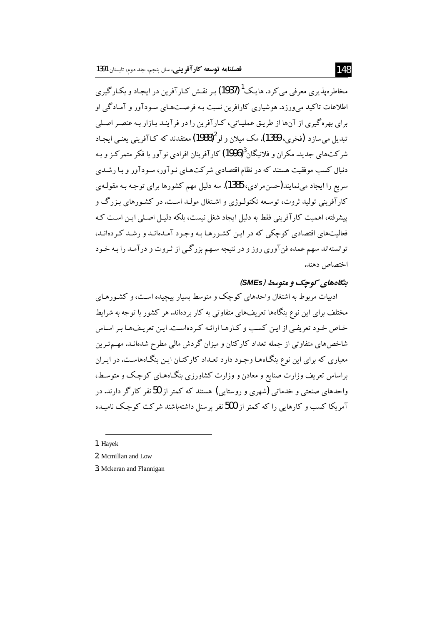مخاطرہ بذیری معرفی میں کر د. ہاپک<sup>1</sup> (1937) پیر نقیش کیار آفرین در ابجباد و پکیار گیری اطلاعات تاکید می ورزد. هوشیاری کارافرین نسبت بـه فرصــتهـای سـودآور و آمـادگی او برای بهره گیری از آنها از طریق عملیاتی، کـارآفرین را در فرآینـد بـازار بـه عنصـر اصـلی تبديل مي سازد (فخري، 1389). مک ميلان و لو 1988) معتقدند که کـاآفريني يعنـي ايجـاد شرکتهای جدید. مکران و فلانیگان<sup>3</sup>(1996) کار آفرینان افرادی نو آور با فکر متمرکز و بـه دنبال کسب موفقیت هستند که در نظام اقتصادی شرکتهـای نـوآور، سـودآور و بـا رشــدی سریع را ایجاد مینمایند(حسن.مرادی، 1385). سه دلیل مهم کشورها برای توجـه بـه مقولـهی کارآفرینی تولید ثروت، توسعه تکنولـوژی و اشـتغال مولـد اسـت. در کشـورهای بـزرگ و پیشرفته، اهمیت کارآفرینی فقط به دلیل ایجاد شغل نیست، بلکه دلیـل اصـلی ایـن اسـت کـه .<br>فعالیتهای اقتصادی کوچکی که در این کشورها به وجود آمدهانید و رشید کیردهانید، توانستهاند سهم عمده فنآوري روز و در نتيجه سـهم بزرگـي از ثـروت و درآمـد را بـه خـود اختصاص دهند.

# بنگاههای کوحک و متوسط (SMEs)

ادبیات مربوط به اشتغال واحدهای کوچک و متوسط بسیار پیچیده است، و کشـورهـای مختلف برای این نوع بنگاهها تعریفهای متفاوتی به کار بردهاند. هر کشور با توجه به شرایط خاص خود تعریفی از این کسب و کـارهـا ارائـه کـردهاسـت. ایـن تعریـفهـا بـر اسـاس شاخصهای متفاوتی از جمله تعداد کارکنان و میزان گردش مالی مطرح شدهانـد. مهـم تـرین معیاری که برای این نوع بنگـاههـا وجـود دارد تعـداد کارکنـان ایـن بنگـاههاسـت. در ایـران براساس تعریف وزارت صنایع و معادن و وزارت کشاورزی بنگـاههـای کوچک و متوسـط، واحدهای صنعتی و خدماتی (شهری و روستایی) هستند که کمتر از 50نفر کارگر دارند. در ۔<br>آمریکا کسب و کارہایی را که کمتر از 500نفر برسنل داشته باشند شرکت کو حک نامیںدہ

1. Havek

<sup>2.</sup> Mcmillan and Low

<sup>3.</sup> Mckeran and Flannigan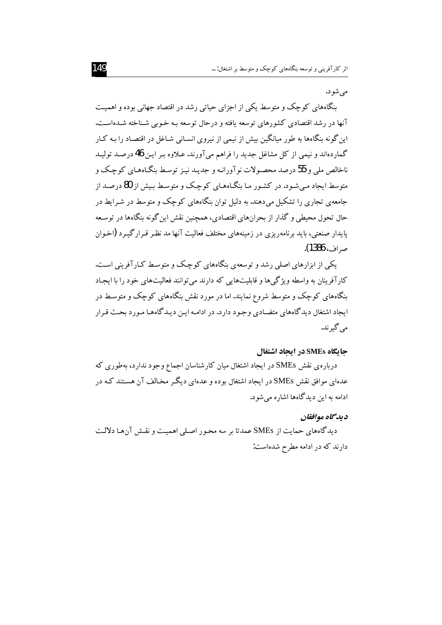مې شو د.

بنگاههای کوچک و متوسط یکی از اجزای حیاتی رشد در اقتصاد جهانی بوده و اهمیت آنها در رشد اقتصادی کشورهای توسعه یافته و درحال توسعه بـه خـوبی شـناخته شـدهاسـت. این گونه بنگاهها به طور میانگین بیش از نیمی از نیروی انسـانی شـاغل در اقتصـاد را بـه کـار گماردهاند و نیمی از کل مشاغل جدید را فراهم میآورند. عـلاوه بـر ایـن 46 درصـد تولیـد ناخالص ملي و 55 درصد محصولات نوآورانـه و جديـد نيـز توسـط بنگـاههـاي كوچـک و متوسط ایجاد میشود. در کشور ما بنگاههای کوچک و متوسط بیش از 80 درصد از جامعهی تجاری را تشکیل میدهند. به دلیل توان بنگاههای کوچک و متوسط در شـرایط در حال تحول محیطی و گذار از بحرانهای اقتصادی، همچنین نقش این گونه بنگاهها در توسعه پایدار صنعتی، باید برنامهریزی در زمینههای مختلف فعالیت آنها مد نظر قبرار گیبرد (اخبوان صراف، 1386).

یکی از ابزارهای اصلی رشد و توسعهی بنگاههای کوچک و متوسط کـارآفرینی اسـت. کار آفر بنان به واسطه ویژگی ها و قابلیتهایی که دارند می توانند فعالیتهای خود را با ایجاد بنگاههای کوچک و متوسط شروع نمایند. اما در مورد نقش بنگاههای کوچک و متوسط در ايجاد اشتغال ديدگاههاي متضـادي وجـود دارد. در ادامـه ايـن ديـدگاههـا مـورد بحـث قـرار می گیر ند.

#### جایگاه SMEs در ایجاد اشتغال

دربارهی نقش SMEs در ایجاد اشتغال میان کارشناسان اجماع وجود ندارد، بهطوری که عدهای موافق نقش SMEs در ایجاد اشتغال بوده و عدهای دیگر مخـالف آن هسـتند کـه در ادامه به این دیدگاهها اشاره می شود.

### دىدگاه موافقان

دیدگاههای حمایت از SMEs عمدتا بر سه محور اصلی اهمیت و نقش آنها دلالت دارند که در ادامه مطرح شدهاست: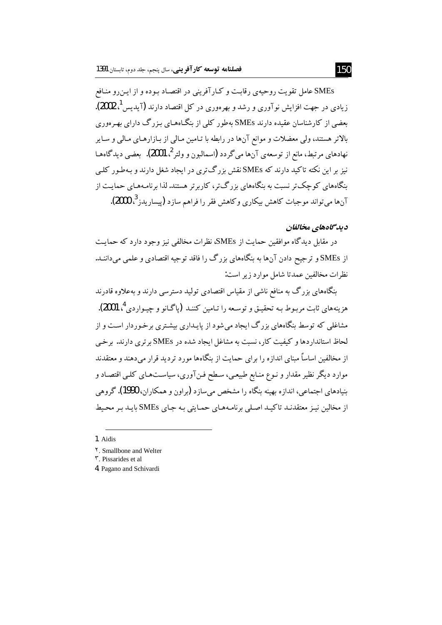SMEs عامل تقويت روحيهي رقابت و كـارآفريني در اقتصـاد بـوده و از ايـن٫و منـافع زیادی در جهت افزایش نوآوری و رشد و بهرهوری در کل اقتصاد دارند (آیدیس <sup>1</sup>، 2002). بعضی از کارشناسان عقیده دارند SMEs بهطور کلمی از بنگـاههـای بـزرگ دارای بهـرهوری بالاتر هستند، ولي معضلات و موانع آنها در رابطه با تـامين مـالي از بـازارهـاي مـالي و سـاير نهادهای مرتبط، مانع از توسعهی آنها میگردد (اسمالبون و ولتر<sup>2</sup>، 2001). بعضی دیدگاههـا نیز بر این نکته تاکید دارند که SMEs نقش بزرگ تری در ایجاد شغل دارند و بـهطـور کلـی بنگاههای کوچک تر نسبت به بنگاههای بزرگتر، کاربرتر هستند. لذا برنامههای حمایت از آنها می تواند موجبات کاهش بیکاری وکاهش فقر را فراهم سازد (پیساریدز <sup>3</sup>، 2000).

## ديدگاههاي مخالفان

در مقابل دیدگاه موافقین حمایت از SMEs، نظرات مخالفی نیز وجود دارد که حمایت از SMEs و ترجیح دادن آنها به بنگاههای بزرگ را فاقد توجیه اقتصادی و علمی میداننـد. نظرات مخالفین عمدتا شامل موارد زیر است:

بنگاههای بزرگ به منافع ناشی از مقیاس اقتصادی تولید دسترسی دارند و بهعلاوه قادرند هزينههاي ثابت مربـوط بـه تحقيــق و توســعه را تــامين كننــد (ياگــانو و چيــواردي <sup>4</sup>، 2001). مشاغلی که توسط بنگاههای بزرگ ایجاد میشود از پایـداری بیشـتری برخـوردار اسـت و از لحاظ استانداردها و کیفیت کار، نسبت به مشاغل ایجاد شده در SMEs برتری دارند. برخی از مخالفین اساساٌ مبنای اندازه را برای حمایت از بنگاهها مورد تردید قرار می دهند و معتقدند موارد دیگر نظیر مقدار و نـوع منـابع طبیعـی، سـطح فـنآوری، سیاسـتهـای کلـی اقتصـاد و بنیادهای اجتماعی، اندازه بهینه بنگاه را مشخص میسازد (براون و همکاران، 1990). گروهی از مخالین نیـز معتقدنـد تاکیـد اصـلی برنامـههـای حمـایتی بـه جـای SMEs بایـد بـر محـیط

<sup>1.</sup> Aidis

Y. Smallbone and Welter

۳. Pissarides et al.

<sup>4.</sup> Pagano and Schivardi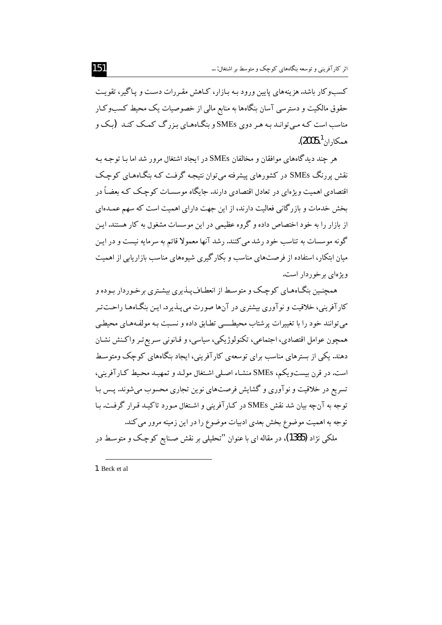کسبوکار باشد. هزینههای پایین ورود بـه بـازار، کـاهش مقـررات دسـت و پـاگیر، تقویـت حقوق مالکیت و دسترسی آسان بنگاهها به منابع مالی از خصوصیات یک محیط کسبوکار مناسب است کـه مـی توانـد بـه هـر دوی SMEs و بنگـاههـای بـزرگ کمـک کنـد (بـک و همكاران <sup>1</sup>،2005).

هر چند دیدگاههای موافقان و مخالفان SMEs در ایجاد اشتغال مرور شد اما یا توجیه به نقش پررنگ SMEs در کشورهای پیشرفته می توان نتیجه گرفت کـه بنگـاههـای کوچـک اقتصادی اهمیت ویژهای در تعادل اقتصادی دارند. جایگاه موسسـات کوچـک کـه بعضـاً در بخش خدمات و باز رگانی فعالیت دارند، از این جهت دارای اهمیت است که سهم عمیدهای از بازار را به خود اختصاص داده و گروه عظیمی در این موسسات مشغول به کار هستند. ایـن گونه موسسات به تناسب خود رشد می کنند. رشد آنها معمولا قائم به سرمایه نیست و در این میان ابتکار، استفاده از فرصتهای مناسب و بکارگیری شیوههای مناسب بازاریابی از اهمیت و بژهای بر خوردار است.

همچنین بنگـاههـای کوچـک و متوسـط از انعطـاف پــذیری بیشـتری برخـوردار بـوده و کارآفرینی، خلاقیت و نوآوری بیشتری در آنها صورت می پـذیرد.ایـن بنگـاههـا راحــتتـر می توانند خود را با تغییرات پرشتاب محیطــــی تطـابق داده و نسـبت بـه مولفـههـای محیطـی همچون عوامل اقتصادي، اجتماعي، تكنولوژيكي، سياسي، و قـانوني سـريع تـر واكـنش نشـان دهند. یکی از بسترهای مناسب برای توسعهی کارآفرینی، ایجاد بنگاههای کوچک ومتوسط است. در قرن بیستویکم، SMEs منشـاء اصـلی اشـتغال مولـد و تمهیـد محـیط کـار آفرینی، تسریع در خلاقیت و نوآوری و گشایش فرصتهای نوین تجاری محسوب می شوند. پس با توجه به آنچه بیان شد نقش SMEs در کـارآفرینی و اشـتغال مـورد تاکیـد قـرار گرفـت. بـا توجه به اهمیت موضوع بخش بعدی ادبیات موضوع را در این زمینه مرور می کند. ملکي نژاد (1385)، در مقاله اي با عنوان "تحليلي بر نقش صـنايع کوچک و متوسـط در

<sup>1.</sup> Beck et al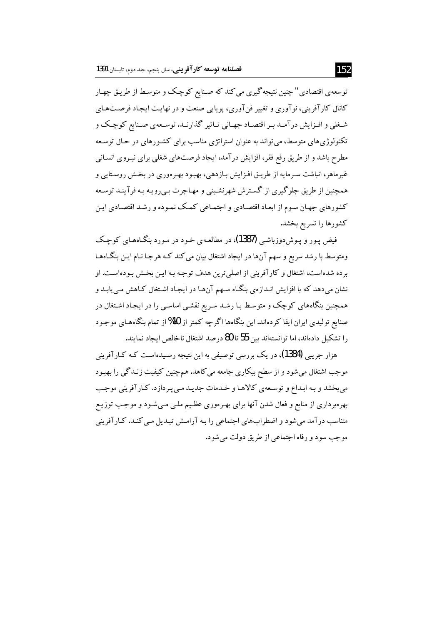توسعهي اقتصادي" چنين نتيجه گيري مي كند كه صـنايع كوچـك و متوسـط از طريـق چهـار کانال کارآفرینی، نوآوری و تغییر فنآوری، پویایی صنعت و در نهایـت ایجـاد فرصـتهـای شـغلي و افـزايش درآمـد بـر اقتصـاد جهـاني تـاثير گذارنـد. توسـعهي صـنايع كوچـك و تکنولوژی های متوسط، می تواند به عنوان استراتژی مناسب برای کشـورهای در حـال توسـعه مطرح باشد و از طریق رفع فقر، افزایش در آمد، ایجاد فرصتهای شغلی برای نیـروی انسـانی غیرماهر، انباشت سـرمایه از طریـق افـزایش بـازدهی، بهبود بهـرووری در بخـش روسـتایی و همچنین از طریق جلوگیری از گسترش شهرنشینی و مهـاجرت بـی رویـه بـه فرآینـد توسـعه کشورهای جهان سوم از ابعـاد اقتصـادی و اجتمـاعی کمـک نمـوده و رشـد اقتصـادی ایـن كشورها را تسريع بخشد.

فیض پور و پوش دوزباشی (1387)، در مطالعـهی خـود در مـورد بنگـاههـای کوچـک ومتوسط با رشد سریع و سهم آنها در ایجاد اشتغال بیان می کند کـه هرجـا نـام ایـن بنگـاههـا بر ده شدهاست، اشتغال و کارآفرینی از اصلی ترین هدف توجه بـه ایـن بخـش بـودهاسـت. او نشان میدهد که با افزایش انـدازهی بنگـاه سـهم آنهـا در ایجـاد اشـتغال کـاهش مـییابـد و همچنین بنگاههای کوچک و متوسط با رشد سریع نقشبی اساسبی را در ایجاد اشتغال در صنایع تولیدی ایران ایفا کردهاند. این بنگاهها اگرچه کمتر از 10%از تمام بنگاههای موجود را تشکیل دادهاند، اما توانستهاند سن 55 تا 80 درصد اشتغال ناخالص ایجاد نمایند.

هزار جریبی (1384)، در یک بررسی توصیفی به این نتیجه رسیدهاست کـه کـارآفرینی موجب اشتغال می شود و از سطح بیکاری جامعه می کاهد. هم چنین کیفیت زنـدگی را بهبـود مي بخشد و بـه ابـداع و توسـعهي كالاهـا و خـدمات جديـد مـي پـردازد. كـارآفريني موجـب بهرهبرداری از منابع و فعال شدن آنها برای بهـرهوری عظـیـم ملـی مـیشـود و موجـب توزیـع متناسب درآمد می شود و اضطراب های اجتماعی را به آرامش تبدیل مبی کنـد. کـارآفرینی موجب سود و رفاه اجتماعي از طريق دولت مي شود.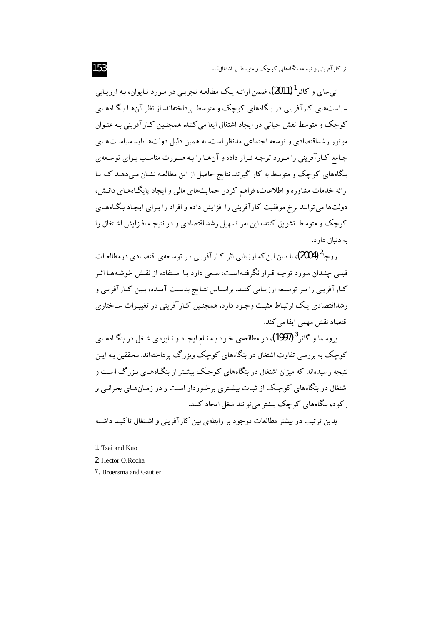ت<sub>ه ،</sub>سا<sub>ی، و</sub> کائو <sup>1</sup> (2011)، ضمن ارائـه یـک مطالعـه تجربـی در مـورد تـایوان، بـه ارزیـابی سیاستهای کارآفرینی در بنگاههای کوچک و متوسط برداختهاند.از نظر آنها بنگـاههـای کوچک و متوسط نقش حیاتی در ایجاد اشتغال ایفا می کنند. همچنـین کـار آفرینی بـه عنـوان موتور رشداقتصادی و توسعه اجتماعی مدنظر است. به همین دلیل دولتها باید سیاستهای جامع کـارآفرینی را مـورد توجـه قـرار داده و آنهـا را بـه صـورت مناسـب بـرای توسـعهی بنگاههای کوچک و متوسط به کار گیرند. نتایج حاصل از این مطالعـه نشـان مـی دهـد کـه بـا ارائه خدمات مشاوره و اطلاعات، فراهم كردن حمايتهاي مالي و ايجاد پايگـاههـاي دانـش، دولتها می توانند نرخ موفقیت کار آفرینی را افزایش داده و افراد را برای ایجاد بنگـاههـای کوچک و متوسط تشویق کنند، این امر تسهیل رشد اقتصادی و در نتیجه افـزایش اشـتغال را به دنبال دار د.

, وحا $^2$  (2004)، یا بیان این که ارز پایی اثر کیار آفرینی پس توسیعهی اقتصادی در مطالعیات قبلبی چنیدان مورد توجیه قبرار نگرفتهاست، سعی دارد با استفاده از نقیش خوشیهها اثیر کـارآفرینی را بـر توسـعه ارزیـابی کنـد. براسـاس نتـایج بدسـت آمـده، بـین کـارآفرینی و ر شداقتصادی یک ارتباط مثبت وجود دارد. همچنین کـارآفرینی در تغییـرات سـاختاری اقتصاد نقش مهمی ایفا می کند.

بروسما و گاتر <sup>3</sup> (1997)، در مطالعه<sub>ی</sub> خود بـه نـام ایجـاد و نـابودی شـغل در بنگـاههـای کوچک به بررسی تفاوت اشتغال در بنگاههای کوچک وبزرگ پرداختهاند. محققین بـه ایـن .<br>نتیجه رسیدهاند که میزان اشتغال در بنگاههای کوچک بیشتر از بنگـاههـای بـزرگ اسـت و اشتغال در بنگاههای کوچک از ثبـات بیشـتری برخـوردار اسـت و در زمـانهـای بحرانـی و رکود، بنگاههای کوچک بیشتر می توانند شغل ایجاد کنند.

بدین ترتیب در بیشتر مطالعات موجود بر رابطهی بین کارآفرینی و اشتغال تاکیـد داشـته

<sup>1.</sup> Tsai and Kuo

<sup>2.</sup> Hector O.Rocha

**T.** Broersma and Gautier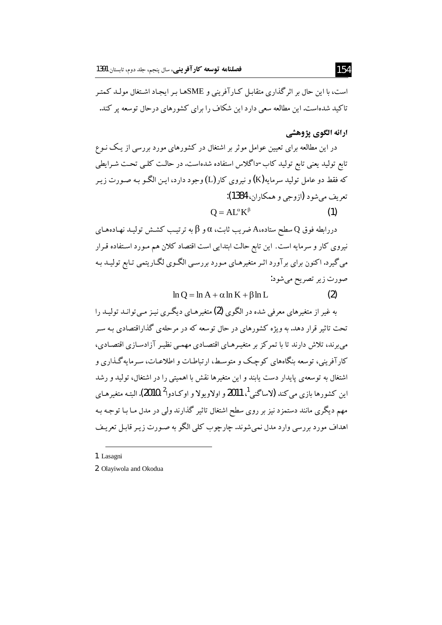است، با این حال بر اثر گذاری متقابـل کـارآفرینی و SMEهـا بـر ایـجـاد اشـتغال مولــد کـمتـر تاکید شدهاست. این مطالعه سعی دارد این شکاف را برای کشورهای درحال توسعه پر کند.

# ارائه الگوي پژوهشي

در این مطالعه برای تعیین عوامل موثر بر اشتغال در کشورهای مورد بررسی از یک نـوع تابع تولید یعنی تابع تولید کاب-داگلاس استفاده شدهاست. در حالت کلبی تحت شـرایطی که فقط دو عامل تولید سرمایه(K) و نیروی کار (L) وجود دارد، ایـن الگـو بـه صـورت زیـر تعريف مي شود (ازوجي و همكاران، 1384):

$$
Q = AL^{\alpha}K^{\beta}
$$
 (1)

دررابطه فوق Q سطح ستاده،A ضريب ثابت، a و B به ترتيب كشش توليـد نهـادههـاي نیروی کار و سرمایه است. این تابع حالت ابتدایی است اقتصاد کلان هم مـورد اسـتفاده قـرار می گیرد. اکنون برای برآورد اثـر متغیرهـای مـورد بررسـی الگـوی لگـاریتمی تـابع تولیـد بـه صورت زير تصريح مي شود:

> $\ln O = \ln A + \alpha \ln K + \beta \ln L$  $(2)$

به غیر از متغیرهای معرفی شده در الگوی **(2)** متغیرهـای دیگـری نیـز مـی توانـد تولیـد را تحت تاثیر قرار دهد. به ویژه کشورهای در حال توسعه که در مرحلهی گذاراقتصادی بـه سـر می برند، تلاش دارند تا با تمرکز بر متغییرهای اقتصادی مهمبی نظییر آزادسازی اقتصادی، کار آفرینی، توسعه بنگاههای کوچک و متوسط، ارتباطـات و اطلاعـات، سـرمایه گـذاری و اشتغال به توسعهی پایدار دست پابند و این متغیرها نقش با اهمیتی را در اشتغال، تولید و رشد این کشورها بازی می کند (لاساگنے <sup>1</sup>، 2011 و اولاویولا و اوکیادوا<sup>2</sup>،2010).البته متغیرهیای مهم دیگری مانند دستمزد نیز بر روی سطح اشتغال تاثیر گذارند ولی در مدل مـا بـا توجـه بـه اهداف مورد بررسی وارد مدل نمی شوند. چارچوب کلی الگو به صـورت زیـر قابـل تعریـف

<sup>1.</sup> Lasagni

<sup>2.</sup> Olayiwola and Okodua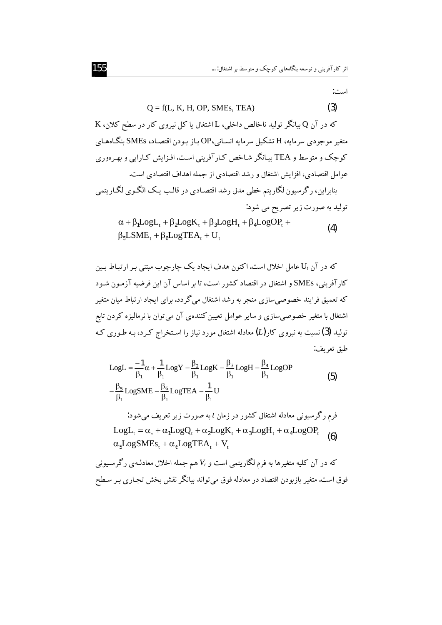است:

#### $(3)$  $Q = f(L, K, H, OP, SMEs, TEA)$

که در آن Q بیانگر تولید ناخالص داخلی، L اشتغال یا کل نیروی کار در سطح کلان، K متغیر موجودی سرمایه، H تشکیل سرمایه انسـانی،OP بـاز بـودن اقتصـاد، SMEs بنگـاههـای کوچک و متوسط و TEA بیـانگر شـاخص کـارآفرینی اسـت.افـزایش کـارایی و بهـرهوری عوامل اقتصادي، افزايش اشتغال و رشد اقتصادي از جمله اهداف اقتصادي است. بنابراين، رگرسيون لگاريتم خطي مدل رشد اقتصادي در قالب يـک الگـوي لگـاريتمي

تولید به صورت زیر تصريح می شود:  
\n
$$
\alpha + \beta_1 Log L_t + \beta_2 Log K_t + \beta_3 Log H_t + \beta_4 Log OP_t +
$$
\n(4)

$$
\beta_5 \text{LSME}_t + \beta_6 \text{LogTEA}_t + U_t
$$

که در آن ،U عامل اخلال است. اکنون هدف ایجاد یک چارچوب مبتنی بـر ارتبـاط بـین کارآفرینی، SMEs و اشتغال در اقتصاد کشور است، تا بر اساس آن این فرضیه آزمـون شـود که تعمیق فرایند خصوصی سازی منجر به رشد اشتغال می گردد. برای ایجاد ارتباط میان متغیر اشتغال با متغیر خصوصیسازی و سایر عوامل تعیین کنندهی آن میتوان با نرمالیزه کردن تابع تولید (3) نسبت به نیروی کار $(L)$  معادله اشتغال مورد نیاز را اسـتخراج کـرد، بـه طـوری کـه طبق تعريف:

$$
LogL = \frac{-1}{\beta_1} \alpha + \frac{1}{\beta_1} LogY - \frac{\beta_2}{\beta_1} LogK - \frac{\beta_3}{\beta_1} LogH - \frac{\beta_4}{\beta_1} LogOP
$$
\n
$$
-\frac{\beta_5}{\beta_1} LogSME - \frac{\beta_6}{\beta_1} LogTER - \frac{1}{\beta_1} U
$$
\n
$$
LogL_t = \alpha_s + \alpha_1 LogQ_t + \alpha_2 LogK_t + \alpha_3 LogH_t + \alpha_4 LogOP_t
$$
\n
$$
LogL_t = \alpha_s + \alpha_1 LogQ_t + \alpha_2 LogK_t + \alpha_3 LogH_t + \alpha_4 LogOP_t
$$
\n
$$
\alpha_5 LogSMEs_t + \alpha_6 LogTER + V_t
$$
\n
$$
\delta = \frac{\alpha_5 LogSMEs_t}{\alpha_5 LogSMEs_t + \alpha_6 LogTER + V_t}
$$
\n
$$
Var = \frac{\alpha_5 LogSMEs_t}{\alpha_5 LogSMEs_t + \alpha_6 LogTER + V_t}
$$
\n
$$
Var = \frac{\alpha_5 LogSMEs_t}{\alpha_5 LogSMEs_t + \alpha_6 LogTER + V_t}
$$
\n
$$
Var = \frac{\alpha_5 LogSMEs_t}{\alpha_5 LogSMEs_t + \alpha_6 LogTER + V_t}
$$
\n
$$
Var = \frac{\alpha_5 LogSMEs_t}{\alpha_5 LogSMEs_t + \alpha_6 LogTER + V_t}
$$
\n
$$
Var = \frac{\alpha_5 LogSMEs_t}{\alpha_5 LogSMEs_t + \alpha_6 LogTER + V_t}
$$
\n
$$
Var = \frac{\alpha_5 LogSMEs_t}{\alpha_5 LogSMEs_t + \alpha_6 LogTER + V_t}
$$
\n
$$
Var = \frac{\alpha_5 LogSMEs_t}{\alpha_5 LogSMEs_t + \alpha_6 LogTER + V_t}
$$
\n
$$
Var = \frac{\alpha_5 LogSMEs_t}{\alpha_5 LogSMEs_t + \alpha_6 LogTER + V_t}
$$
\n
$$
Var = \frac{\alpha_5 LogSMEs_t}{\alpha_5 LogSMEs_t + \alpha_6 LogTER + V_t}
$$
\n
$$
Var = \frac{\alpha_5 LogSMEs_t}{\alpha_5 LogSMEs_t + V_t}
$$

فوق است. متغیر بازبودن اقتصاد در معادله فوق می تواند بیانگر نقش بخش تجـاری بـر سـطح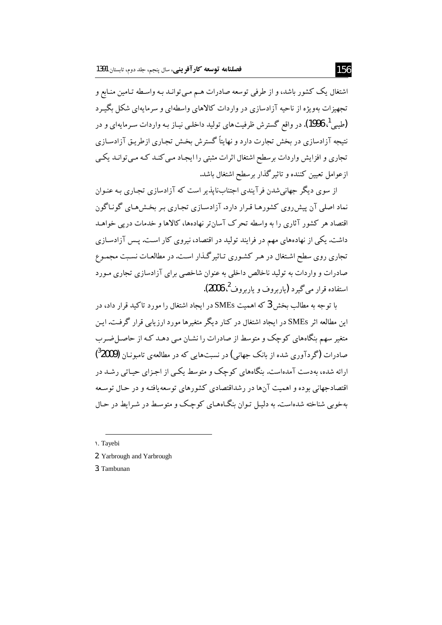اشتغال یک کشور باشد، و از طرفی توسعه صادرات هـم مـی توانـد بـه واسـطه تـامین منـابع و تجهیزات مهویژه از ناحیه آزادسازی در واردات کالاهای واسطهای و سرمایهای شکل بگیـرد (طیبی <sup>1</sup>، 1996). در واقع گسترش ظرفیتهای تولید داخلبی نیـاز بـه واردات سـرمایهای و در نتیجه آزادسازی در بخش تجارت دارد و نهایتاً گسترش بخش تجاری ازطریق آزادسـازی تجاری و افزایش واردات برسطح اشتغال اثرات مثبتی را ایجـاد مـی کنـد کـه مـی توانـد یکـی ازعوامل تعيين كننده و تاثير گذار برسطح اشتغال باشد.

از سوی دیگر جهانی شدن فرآیندی اجتنابناپذیر است که آزادسازی تجاری بـه عنـوان نماد اصلی آن پیش روی کشورهـا قـرار دارد. آزادسـازی تجـاری بـر بخـش هـای گونـاگون اقتصاد هر کشور آثاری را به واسطه تحرک آسان تر نهادهها، کالاها و خدمات در پی خواهـد داشت. یکی از نهادههای مهم در فرایند تولید در اقتصاد، نیروی کار است. پس آزادسـازی تجاری روی سطح اشتغال در هر کشوری تـاثیر گـذار اسـت. در مطالعـات نسـبت مجمـوع صادرات و واردات به تولید ناخالص داخلی به عنوان شاخصی برای آزادسازی تجاری مـورد استفاده قرار مي گيرد (ياربروف و ياربروف<sup>2</sup>، 2006).

با توجه به مطالب بخش 3 که اهمیت SMEs در ایجاد اشتغال را مورد تاکید قرار داد، در این مطالعه اثر SMEs در ایجاد اشتغال در کنار دیگر متغیرها مورد ارزیابی قرار گرفت. این متغیر سهم پنگاههای کوچک و متوسط از صادرات را نشـان مـی دهـد کـه از حاصـل ضـرب صادرات (گردآوری شده از پانک جهانی) در نسبتهایی که در مطالعهی تامیونیان (<sup>3</sup>2009) ارائه شده، بهدست آمدهاست. بنگاههای کوچک و متوسط یکبی از اجزای حیـاتی رشـد در .<br>اقتصادجهانی بوده و اهمیت آنها در رشداقتصادی کشورهای توسعه یافتـه و در حـال توسـعه بهخویی شناخته شدهاست. به دلیل توان بنگاههای کوچک و متوسط در شیرابط در حیال

1. Tayebi

2. Yarbrough and Yarbrough

3. Tambunan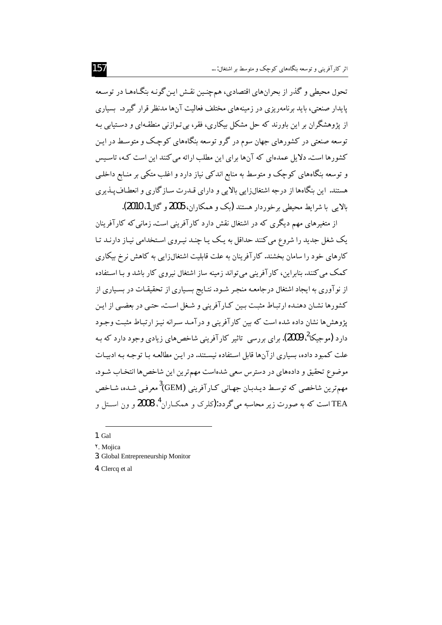تحول محیطی و گذر از بحرانهای اقتصادی، همچنین نقش این گونه بنگاهها در توسعه پایدار صنعتی، باید برنامهریزی در زمینههای مختلف فعالیت آنها مدنظر قرار گیرد. بسیاری از پژوهشگران بر این باورند که حل مشکل بیکاری، فقر، بی تـوازنی منطقـهای و دسـتیابی بـه توسعه صنعتی در کشورهای جهان سوم در گرو توسعه بنگاههای کوچک و متوسط در ایـن کشورها است. دلایل عمدهای که آنها برای این مطلب ارائه می کنند این است کـه، تاسـیس و توسعه بنگاههای کوچک و متوسط به منابع اندکی نیاز دارد و اغلب متکی بر منـابع داخلـی هستند. این بنگاهها از درجه اشتغالزایی بالایی و دارای قـدرت سـازگاری و انعطـاف پـذیری بالابي با شرايط محيطي برخوردار هستند (يک و همکاران، 2005 و گال1، 2010).

از متغیرهای مهم دیگری که در اشتغال نقش دارد کارآفرینی است.زمانی که کارآفرینان یک شغل جدید را شروع می کنند حداقل به یک پـا چنـد نیـروی اسـتخدامی نیـاز دارنـد تـا کارهای خود را سامان بخشند. کارآفرینان به علت قابلیت اشتغالزایی به کاهش نرخ بیکاری کمک می کنند. بنابراین، کار آفرینی می تواند زمینه ساز اشتغال نیروی کار پاشد و بیا استفاده از نوآوری به ایجاد اشتغال درجامعـه منجـر شـود.نتـایج بسـیاری از تحقیقـات در بسـیاری از کشورها نشان دهنده ارتباط مثبت بین کیار آفرینی و شغل است. حتبی در بعضبی از این بژوهش ها نشان داده شده است که بین کار آفرینی و در آمید سیرانه نینز ارتباط مثبت وجبود دارد (موجبکا<sup>2</sup>، 2009). برای بررسی ِ تاثیر کار آفرینی شاخص های زیادی وجود دارد که به علت کمبود داده، بسیاری ازآنها قابل استفاده نیستند. در ایـن مطالعـه بـا توجـه بـه ادبیـات موضوع تحقیق و دادههای در دسترس سعی شدهاست مهم ترین این شاخصها انتخـاب شـود. مهمترین شاخصی که توسط دیـدبـان جهـانی کـار آفرینی (GEM<sup>3</sup>معرفـی شـده، شـاخص TEA است که به صورت زیر محاسبه میگردد:(کلرک و همکـاران <sup>4</sup>، 2008 و ون اســتل و

- $1.$  Gal
- Y. Moiica
- 3. Global Entrepreneurship Monitor
- 4. Clercq et al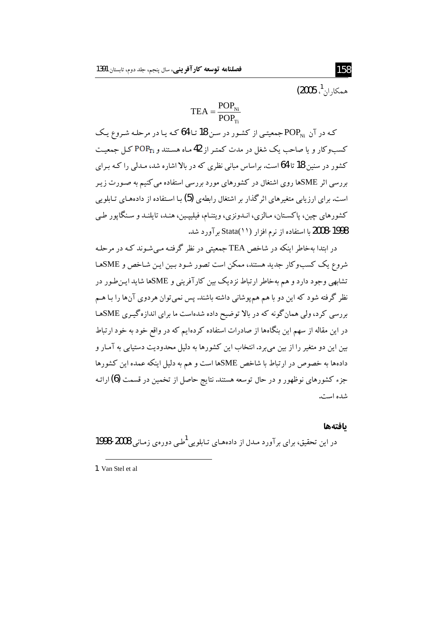$(2005\stackrel{1}{\ldots},\frac{1}{2})$ همكار ان

$$
TEA = \frac{POP_{Ni}}{POP_{Ti}}
$$

که در آن POP جمعیتبی از کشور در سن 18 تـا 64 کـه یـا در مرحلـه شـروع یـک کسبوکار و یا صاحب یک شغل در مدت کمتر از 42ماه هستند و POP<sub>Ti</sub> کـل جمعیـت کشور در سنین 18 تا 64 است. براساس مبانی نظری که در بالا اشاره شد، مـدلی را کـه بـرای بررسی اثر SMEها روی اشتغال در کشورهای مورد بررسی استفاده می کنیم به صـورت زیـر است. برای ارز بابی متغیرهای اثر گذار بر اشتغال رابطهی **(5)** با استفاده از دادههای تبایلویی كشورهاي چين، پاكستان، مـالزي، انـدونزي، ويتنـام، فيلييـين، هنـد، تايلنـد و سـنگاپور طـي 1998-2008 با استفاده از نرم افزار (Stata(۱۱) بر آورد شد.

در ابتدا بهخاطر اینکه در شاخص TEA حمعتی در نظر گرفتـه مـ شـوند کـه در مرحلـه شروع یک کسبوکار جدید هستند، ممکن است تصور شـود بـین ایـن شـاخص و SMEهـا ۔<br>تشابھی وجود دارد و ہم مەخاطر ارتباط نزدیک بین کار آفرینی و SMEها شاید این طـور در نظر گرفته شود که این دو با هم همهپوشانی داشته باشند. پس نمیتوان هردوی آنها را بـا هـم بررسی کرد، ولی همان گونه که در بالا توضیح داده شدهاست ما برای اندازه گیری SMEها در این مقاله از سهم این بنگاهها از صادرات استفاده کردهایم که در واقع خود به خود ارتباط سن این دو متغیر را از پین می برد. انتخاب این کشورها به دلیل محدودیت دستیابی به آمیار و دادهها به خصوص در ارتباط با شاخص SMEها است و هم به دلیل اینکه عمده این کشورها جزء کشورهای نوظهور و در حال توسعه هستند. نتایج حاصل از تخمین در قسمت (6)ارائـه شده است.

#### بافتهها

در این تحقیق، برای بر آورد مـدل از دادههـای تـابلویی <sup>1</sup>طـی دوروی زمـانی 2008-1998

<sup>1.</sup> Van Stel et al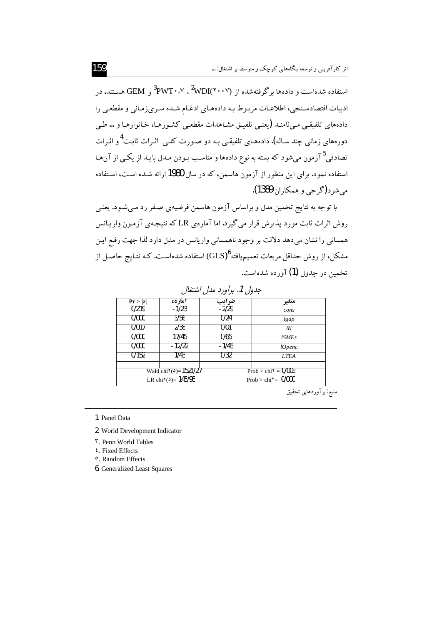منبع: برآوردهای تحقیق

استفاده شدهاست و دادهها برگرفتهشده از  $^2\text{WDI}(\check{\cdot} \cdot \check{\cdot})\text{ }^3\text{PW}\Gamma\cdot \check{\cdot} \check{\cdot}^2$ هسـتند. در ادبیات اقتصادسـنجي، اطلاعـات مربـوط بـه دادههـاي ادغـام شـده سـريiرمـاني و مقطعـي را دادههای تلفیقبی مبیiامنـد (یعنبی تلفیـق مشـاهدات مقطعـی کشـورهـا، خـانوارهـا و …طـی دورههای زمانی چند سـاله). دادههـای تلفیقـی بـه دو صـورت کلـی اثـرات ثابـت<sup>4</sup> و اثـرات تصادفی<sup>5</sup> آزمون می شود که بسته به نوع دادهها و مناسب بـودن مـدل بایـد از یکـبی از آنهـا استفاده نمود. برای این منظور از آزمون هاسمن، که در سال 1980ارائه شـده اسـت، اسـتفاده می شو د (گر جی و همکاران 1389).

با توجه به نتایج تخمین مدل و براساس آزمون هاسمن فرضیهی صفر رد مبی شـود. یعنبی روش اثرات ثابت مورد پذیرش قرار می گیرد. اما آمارهی LR که نتیجهی آزمـون واریـانس همسانی را نشان میدهد دلالت بر وجود ناهمسانی واریانس در مدل دارد لذا جهت رفع ایـن مشکل، از روش حداقل مربعات تعمیم،یافته ${\rm (GLS)}^{6}$ ) استفاده شدهاست. کـه نتـایج حاصـل از تخمین در حدول (1) آورده شدهاست.

| جنوں ۰، بر ورد مدن استعال                           |          |       |                                                   |  |
|-----------------------------------------------------|----------|-------|---------------------------------------------------|--|
| Pr >  z                                             | 1مار 20  | ضرايب | متغير                                             |  |
| 0/219                                               | -1/23    | -2/29 | cons                                              |  |
| 0/000                                               | 3/56     | 0/24  | lgdp                                              |  |
| 0/017                                               | 2/38     | 0/01  | lK                                                |  |
| 0/000                                               | 17/45    | 0/65  | <i><b>ISMEs</b></i>                               |  |
| 0/000                                               | $-12/22$ | -1/45 | <i>lOpenc</i>                                     |  |
| 0/152                                               | 1743     | 0/32  | <b>LTEA</b>                                       |  |
|                                                     |          |       |                                                   |  |
| Wald chi <sup>v(<math>\delta</math></sup> )=1521/27 |          |       | Prob > chi <sup><math>\gamma</math></sup> = 0/003 |  |
| LR chi <sup>(<math>\triangle</math></sup> )= 145/95 |          |       | Prob > chi <sup><math>\tau</math></sup> = 0/000   |  |

هدما -1- المدفره والمرافقة

1. Panel Data

2. World Development Indicator

**<sup>r</sup>**. Penn World Tables

 $\mathfrak{t}$ . Fixed Effects

°. Random Effects

**6.** Generalized Least Squares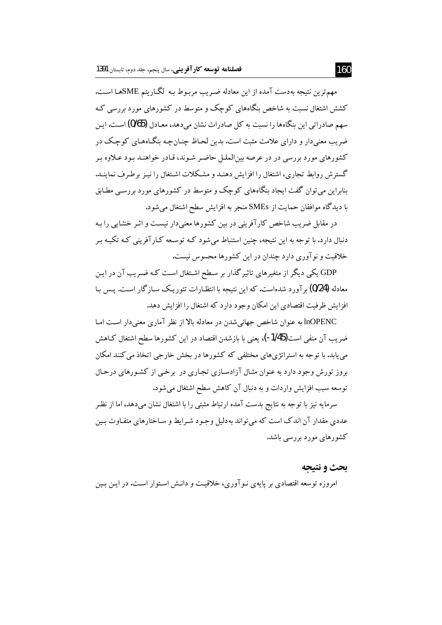مهمترين نتيجه بهدست آمده از اين معادله ضـريب مربـوط بـه گكـاريتم SMEهـا اسـت. کشش اشتغال نسبت به شاخص بنگاههای کوچک و متوسط در کشورهای مورد بررسی کـه سهم صادراتی این بنگاهها را نسبت به کل صادرات نشان می دهد، معـادل (0/65) اسـت. ایـن ضریب معنیدار و دارای علامت مثبت است. بدین لحـاظ چنـان چـه بنگـاههـای کوچـک در کشورهای مورد بررسی در در عرصه بینالملل حاضر شـوند، قـادر خواهنـد بـود عـلاوه بـر گسترش روابط تجاری، اشتغال را افزایش دهنـد و مشـکلات اشـتغال را نیـز برطـرف نماینـد. بنابراین می توان گفت ایجاد بنگاههای کوچک و متوسط در کشورهای مورد بررسبی مطـابق با دیدگاه موافقان حمایت از SMEs منجر به افزایش سطح اشتغال می شود.

در مقابل ضریب شاخص کارآفرینی در بین کشورها معنیدار نیست و اثـر خنثـایی را بـه دنبال دارد. با توجه به این نتیجه، چنین استنباط می شود کـه توسـعه کـارآفرینی کـه تکیـه بـر خلاقیت و نو آوری دارد چندان در این کشورها محسوس نیست.

GDP یکی دیگر از متغیرهای تاثیر گذار بر سطح اشتغال است کـه ضـریب آن در ایـن معادله (0/24) بر آورد شدهاست. که این نتیجه با انتظـارات تئوریـک سـازگار اسـت. پـس بـا افزایش ظرفیت اقتصادی این امکان وجود دارد که اشتغال را افزایش دهد.

InOPENC به عنوان شاخص جهانی شدن در معادله بالا از نظر آماری معنیدار است امـا ضرب آن منفی است(1/45-)، یعنی با بازشدن اقتصاد در این کشورها سطح اشتغال کـاهش می یابد. با توجه به استراتژیهای مختلفی که کشورها در بخش خارجی اتخاذ می کنند امکان بروز تورش وجود دارد به عنوان مثـال آزادسـازي تجـاري در برخـي از كشـورهاي درحـال توسعه سبب افزایش واردات و به دنبال آن کاهش سطح اشتغال می شود.

سرمایه نیز با توجه به نتایج بدست آمده ارتباط مثبتی را با اشتغال نشان میدهد، اما از نظر عددی مقدار آن اندک است که می تواند به دلیل وجـو د شـرایط و سـاختارهای متفـاوت بـین کشورهای مورد بررسی باشد.

#### بحث و نتيحه

امروزه توسعه اقتصادی بر پایهی نیو آوری، خلاقیت و دانیش استوار است. در این پین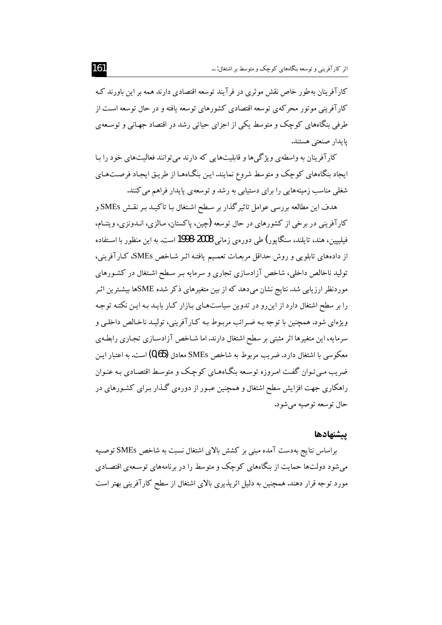کارآفرینان به طور خاص نقش موثری در فرآیند توسعه اقتصادی دارند همه بر این باورند ک کار آفرینی مو تو ر محرکه ی توسعه اقتصادی کشورهای توسعه یافته و در حال توسعه است از طرفی بنگاههای کوچک و متوسط یکی از اجزای حیاتی رشد در اقتصاد جهـانی و توسـعهی يايدار صنعتى هستند.

کارآفرینان به واسطهی ویژگیها و قابلیتهایی که دارند می توانند فعالیتهای خود را بـا ایجاد بنگاههای کوچک و متوسط شروع نمایند.این بنگـاههـا از طریـق ایجـاد فرصـتـهـای شغلی مناسب زمینههایی را برای دستیابی به رشد و توسعهی پایدار فراهم می کنند.

هدف این مطالعه بررسی عوامل تاثیر گذار بر سطح اشتغال بـا تاکیــد بـر نقـش SMEs و کارآفرینی در برخی از کشورهای در حال توسعه (چین، پاکستان، مـالزی، انـدونزی، ویتنـام، فیلیپین، هند، تایلند، سنگاپور) طی دوروی زمانی 2008-1998 است. به این منظور با استفاده از دادههای تابلویی و روش حداقل مربعـات تعمـیـم یافتـه اثـر شـاخص SMEs، کـارآفرینی، تولید ناخالص داخلی، شاخص آزادسازی تجاری و سرمایه بـر سـطح اشـتغال در کشـورهای موردنظر ارزیابی شد. نتایج نشان میدهد که از بین متغیرهای ذکر شده SMEها بیشـترین اثـر را بر سطح اشتغال دارد از این رو در تدوین سیاستهای بیازار کیار بایید بیه این نکتبه توجیه ویژهای شود. همچنین با توجه بـه ضـرائب مربـوط بـه کـار آفرینی، تولیـد ناخـالص داخلـی و سرمایه، این متغیرها اثر مثبتی بر سطح اشتغال دارند. اما شـاخص آزادسـازی تجـاری رابطـهی معکوسی با اشتغال دارد. ضریب مربوط به شاخص SMEs معادل (0,65) است. به اعتبار ایـن ضریب مبی تـوان گفـت امـروزه توسـعه بنگـاههـای کوچـک و متوسـط اقتصـادی بـه عنـوان راهکاری جهت افزایش سطح اشتغال و همچنین عبور از دورهی گـذار بـرای کشـورهای در حال توسعه توصيه مي شود.

## بيشنهادها

براساس نتايج بهدست آمده مبنى بر كشش بالاي اشتغال نسبت به شاخص SMEs توصـيه می شود دولتها حمایت از بنگاههای کوچک و متوسط را در برنامههای توسعهی اقتصادی مورد توجه قرار دهند. همچنین به دلیل اثریذیری بالای اشتغال از سطح کارآفرینی بهتر است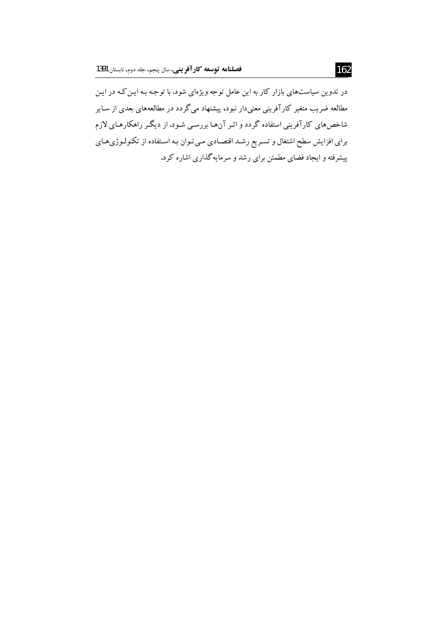در تدوین سیاستهای بازار کار به این عامل توجه ویژهای شود. با توجه بـه ایـن کـه در ایـن مطالعه ضریب متغیر کارآفرینی معنیدار نبود، پیشنهاد میگردد در مطالعههای بعدی از سـایر شاخصهای کارآفرینی استفاده گردد و اثـر آنهـا بررسـی شـود.از دیگـر راهکارهـای لازم برای افزایش سطح اشتغال و تسـریع رشـد اقتصـادی مـی تـوان بـه اسـتفاده از تکنولـوژیهـای پیشرفته و ایجاد فضای مطمئن برای رشد و سرمایهگذاری اشاره کرد.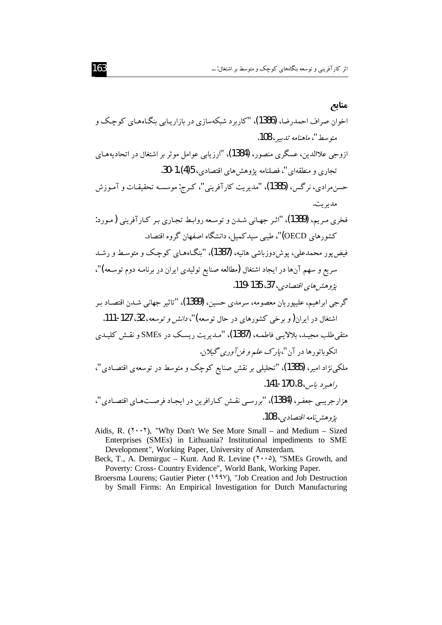Aidis, R. ( $\check{ }$  ' $\cdot$  ' $\check{ }$ ), "Why Don't We See More Small – and Medium – Sized Enterprises (SMEs) in Lithuania? Institutional impediments to SME Development", Working Paper, University of Amsterdam.

Beck, T., A. Demirguc – Kunt. And R. Levine  $(5 \cdot \cdot \cdot)$ , "SMEs Growth, and Poverty: Cross- Country Evidence", World Bank, Working Paper.

Broersma Lourens; Gautier Pieter (1994), "Job Creation and Job Destruction by Small Firms: An Empirical Investigation for Dutch Manufacturing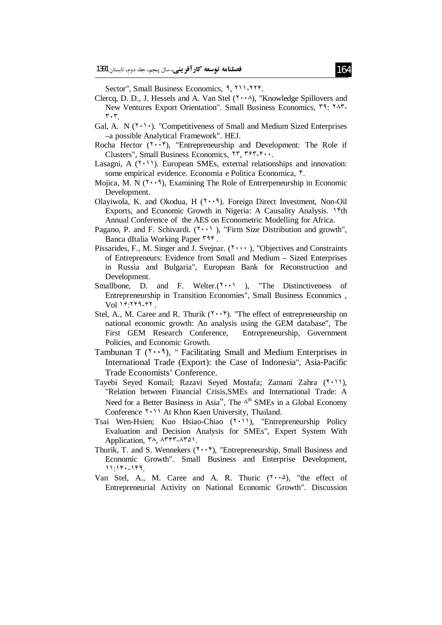Sector", Small Business Economics, 9, ٢١١-٢٢٢.

- Clercq, D. D., J. Hessels and A. Van Stel  $(1 \cdot \cdot \wedge)$ . "Knowledge Spillovers and New Ventures Export Orientation". Small Business Economics, T9: YAT- $\mathbf{r} \cdot \mathbf{r}$
- Gal, A. N  $(1 \cdot)$ . "Competitiveness of Small and Medium Sized Enterprises -a possible Analytical Framework". HEJ.
- Rocha Hector  $(1 \cdot \cdot \cdot)$ , "Entrepreneurship and Development: The Role if Clusters", Small Business Economics, ٢٣, ٣٩٣-۴٠٠.
- Lasagni, A  $(1 \cdot 1)$ . European SMEs, external relationships and innovation: some empirical evidence. Economia e Politica Economica, <sup>e</sup>.
- Mojica, M. N  $(1 \cdot \cdot 1)$ , Examining The Role of Entrerpeneurship in Economic Development.
- Olayiwola, K. and Okodua, H.  $(Y \cdot \cdot \hat{A})$ . Foreign Direct Investment, Non-Oil Exports, and Economic Growth in Nigeria: A Causality Analysis. 1<sup>e</sup>th Annual Conference of the AES on Econometric Modelling for Africa.
- Pagano, P. and F. Schivardi. (\*\*\*)), "Firm Size Distribution and growth", Banca dItalia Working Paper ٣٩۴.
- Pissarides, F., M. Singer and J. Svejnar. (\*\*\*\*), "Objectives and Constraints of Entrepreneurs: Evidence from Small and Medium – Sized Enterprises in Russia and Bulgaria", European Bank for Reconstruction and Development.
- Smallbone, D. and F. Welter.  $(Y \cdot \cdot)$ , "The Distinctiveness of Entrepreneurship in Transition Economies", Small Business Economics, Vol 19: 199-91.
- Stel, A., M. Caree and R. Thurik  $(5 \cdot \cdot \hat{r})$ . "The effect of entrepreneurship on national economic growth: An analysis using the GEM database", The First GEM Research Conference, Entrepreneurship, Government Policies, and Economic Growth.
- Tambunan T  $(1 \cdot \cdot 1)$ , " Facilitating Small and Medium Enterprises in International Trade (Export): the Case of Indonesia", Asia-Pacific Trade Economists' Conference.
- Tayebi Seyed Komail; Razavi Seyed Mostafa; Zamani Zahra (\*\*\*), "Relation between Financial Crisis, SMEs and International Trade: A Need for a Better Business in Asia". The  $\lambda^{th}$  SMEs in a Global Economy Conference Y. 11 At Khon Kaen University, Thailand.
- Tsai Wen-Hsien; Kuo Hsiao-Chiao (You), "Entrepreneurship Policy Evaluation and Decision Analysis for SMEs", Expert System With Application, ۳۸, ۸۳۴۳-۸۳۵۱.
- Thurik, T. and S. Wennekers  $(1 \cdot \cdot \hat{r})$ , "Entrepreneurship, Small Business and Economic Growth". Small Business and Enterprise Development,  $11:18.189$ .
- Van Stel, A., M. Caree and A. R. Thuric  $(1 \cdot \cdot \delta)$ , "the effect of Entrepreneurial Activity on National Economic Growth". Discussion